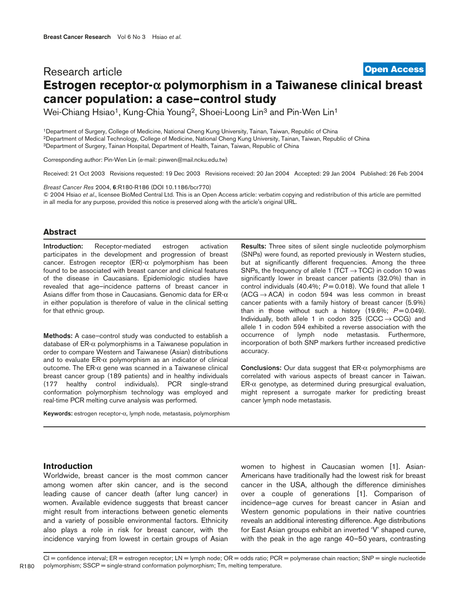# Research article **Estrogen receptor-**α **polymorphism in a Taiwanese clinical breast cancer population: a case–control study [Open Access](http://www.biomedcentral.com/info/about/charter/)**

Wei-Chiang Hsiao<sup>1</sup>, Kung-Chia Young<sup>2</sup>, Shoei-Loong Lin<sup>3</sup> and Pin-Wen Lin<sup>1</sup>

1Department of Surgery, College of Medicine, National Cheng Kung University, Tainan, Taiwan, Republic of China 2Department of Medical Technology, College of Medicine, National Cheng Kung University, Tainan, Taiwan, Republic of China 3Department of Surgery, Tainan Hospital, Department of Health, Tainan, Taiwan, Republic of China

Corresponding author: Pin-Wen Lin (e-mail: pinwen@mail.ncku.edu.tw)

Received: 21 Oct 2003 Revisions requested: 19 Dec 2003 Revisions received: 20 Jan 2004 Accepted: 29 Jan 2004 Published: 26 Feb 2004

*Breast Cancer Res* 2004, **6**:R180-R186 (DOI 10.1186/bcr770)

© 2004 Hsiao *et al*., licensee BioMed Central Ltd. This is an Open Access article: verbatim copying and redistribution of this article are permitted in all media for any purpose, provided this notice is preserved along with the article's original URL.

# **Abstract**

**Introduction:** Receptor-mediated estrogen activation participates in the development and progression of breast cancer. Estrogen receptor (ER)-α polymorphism has been found to be associated with breast cancer and clinical features of the disease in Caucasians. Epidemiologic studies have revealed that age–incidence patterns of breast cancer in Asians differ from those in Caucasians. Genomic data for  $\textsf{ER-}\alpha$ in either population is therefore of value in the clinical setting for that ethnic group.

**Methods:** A case–control study was conducted to establish a database of ER-α polymorphisms in a Taiwanese population in order to compare Western and Taiwanese (Asian) distributions and to evaluate  $ER-\alpha$  polymorphism as an indicator of clinical outcome. The ER-α gene was scanned in a Taiwanese clinical breast cancer group (189 patients) and in healthy individuals (177 healthy control individuals). PCR single-strand conformation polymorphism technology was employed and real-time PCR melting curve analysis was performed.

**Keywords:** estrogen receptor-α, lymph node, metastasis, polymorphism

**Results:** Three sites of silent single nucleotide polymorphism (SNPs) were found, as reported previously in Western studies, but at significantly different frequencies. Among the three SNPs, the frequency of allele 1 (TCT  $\rightarrow$  TCC) in codon 10 was significantly lower in breast cancer patients (32.0%) than in control individuals (40.4%; *P* = 0.018). We found that allele 1  $(ACG \rightarrow ACA)$  in codon 594 was less common in breast cancer patients with a family history of breast cancer (5.9%) than in those without such a history  $(19.6\%; P=0.049)$ . Individually, both allele 1 in codon  $325$  (CCC  $\rightarrow$  CCG) and allele 1 in codon 594 exhibited a reverse association with the occurrence of lymph node metastasis. Furthermore, incorporation of both SNP markers further increased predictive accuracy.

**Conclusions:** Our data suggest that ER-α polymorphisms are correlated with various aspects of breast cancer in Taiwan.  $ER-\alpha$  genotype, as determined during presurgical evaluation, might represent a surrogate marker for predicting breast cancer lymph node metastasis.

### **Introduction**

Worldwide, breast cancer is the most common cancer among women after skin cancer, and is the second leading cause of cancer death (after lung cancer) in women. Available evidence suggests that breast cancer might result from interactions between genetic elements and a variety of possible environmental factors. Ethnicity also plays a role in risk for breast cancer, with the incidence varying from lowest in certain groups of Asian

women to highest in Caucasian women [1]. Asian-Americans have traditionally had the lowest risk for breast cancer in the USA, although the difference diminishes over a couple of generations [1]. Comparison of incidence–age curves for breast cancer in Asian and Western genomic populations in their native countries reveals an additional interesting difference. Age distributions for East Asian groups exhibit an inverted 'V' shaped curve, with the peak in the age range 40–50 years, contrasting

CI = confidence interval; ER = estrogen receptor; LN = lymph node; OR = odds ratio; PCR = polymerase chain reaction; SNP = single nucleotide polymorphism; SSCP = single-strand conformation polymorphism; Tm, melting temperature.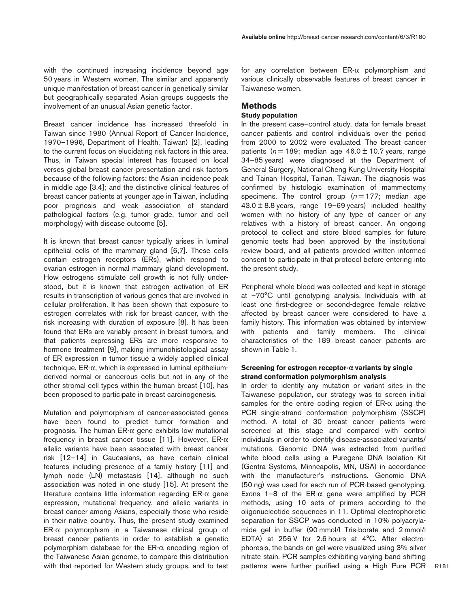Breast cancer incidence has increased threefold in Taiwan since 1980 (Annual Report of Cancer Incidence, 1970–1996, Department of Health, Taiwan) [2], leading to the current focus on elucidating risk factors in this area. Thus, in Taiwan special interest has focused on local verses global breast cancer presentation and risk factors because of the following factors: the Asian incidence peak in middle age [3,4]; and the distinctive clinical features of breast cancer patients at younger age in Taiwan, including poor prognosis and weak association of standard pathological factors (e.g. tumor grade, tumor and cell morphology) with disease outcome [5].

It is known that breast cancer typically arises in luminal epithelial cells of the mammary gland [6,7]. These cells contain estrogen receptors (ERs), which respond to ovarian estrogen in normal mammary gland development. How estrogens stimulate cell growth is not fully understood, but it is known that estrogen activation of ER results in transcription of various genes that are involved in cellular proliferation. It has been shown that exposure to estrogen correlates with risk for breast cancer, with the risk increasing with duration of exposure [8]. It has been found that ERs are variably present in breast tumors, and that patients expressing ERs are more responsive to hormone treatment [9], making immunohistological assay of ER expression in tumor tissue a widely applied clinical technique. ER-α, which is expressed in luminal epitheliumderived normal or cancerous cells but not in any of the other stromal cell types within the human breast [10], has been proposed to participate in breast carcinogenesis.

Mutation and polymorphism of cancer-associated genes have been found to predict tumor formation and prognosis. The human ER- $\alpha$  gene exhibits low mutational frequency in breast cancer tissue [11]. However, ER-α allelic variants have been associated with breast cancer risk [12–14] in Caucasians, as have certain clinical features including presence of a family history [11] and lymph node (LN) metastasis [14], although no such association was noted in one study [15]. At present the literature contains little information regarding  $ER-\alpha$  gene expression, mutational frequency, and allelic variants in breast cancer among Asians, especially those who reside in their native country. Thus, the present study examined  $ER-\alpha$  polymorphism in a Taiwanese clinical group of breast cancer patients in order to establish a genetic polymorphism database for the ER-α encoding region of the Taiwanese Asian genome, to compare this distribution with that reported for Western study groups, and to test for any correlation between ER-α polymorphism and various clinically observable features of breast cancer in Taiwanese women.

# **Methods**

# **Study population**

In the present case–control study, data for female breast cancer patients and control individuals over the period from 2000 to 2002 were evaluated. The breast cancer patients  $(n = 189; \text{ median age } 46.0 \pm 10.7 \text{ years}, \text{ range}$ 34–85 years) were diagnosed at the Department of General Surgery, National Cheng Kung University Hospital and Tainan Hospital, Tainan, Taiwan. The diagnosis was confirmed by histologic examination of mammectomy specimens. The control group  $(n = 177)$ ; median age 43.0 ± 8.8 years, range 19–69 years) included healthy women with no history of any type of cancer or any relatives with a history of breast cancer. An ongoing protocol to collect and store blood samples for future genomic tests had been approved by the institutional review board, and all patients provided written informed consent to participate in that protocol before entering into the present study.

Peripheral whole blood was collected and kept in storage at –70°C until genotyping analysis. Individuals with at least one first-degree or second-degree female relative affected by breast cancer were considered to have a family history. This information was obtained by interview with patients and family members. The clinical characteristics of the 189 breast cancer patients are shown in Table 1.

# **Screening for estrogen receptor-**α **variants by single strand conformation polymorphism analysis**

In order to identify any mutation or variant sites in the Taiwanese population, our strategy was to screen initial samples for the entire coding region of  $ER-\alpha$  using the PCR single-strand conformation polymorphism (SSCP) method. A total of 30 breast cancer patients were screened at this stage and compared with control individuals in order to identify disease-associated variants/ mutations. Genomic DNA was extracted from purified white blood cells using a Puregene DNA Isolation Kit (Gentra Systems, Minneapolis, MN, USA) in accordance with the manufacturer's instructions. Genomic DNA (50 ng) was used for each run of PCR-based genotyping. Exons 1–8 of the ER- $\alpha$  gene were amplified by PCR methods, using 10 sets of primers according to the oligonucleotide sequences in 11. Optimal electrophoretic separation for SSCP was conducted in 10% polyacrylamide gel in buffer (90 mmol/l Tris-borate and 2 mmol/l EDTA) at 256 V for 2.6 hours at 4°C. After electrophoresis, the bands on gel were visualized using 3% silver nitrate stain. PCR samples exhibiting varying band shifting patterns were further purified using a High Pure PCR

R181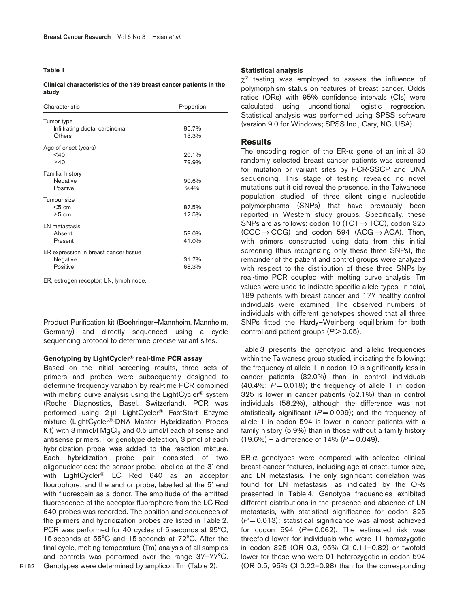**Table 1**

#### **Clinical characteristics of the 189 breast cancer patients in the study**

| Characteristic                                                | Proportion     |
|---------------------------------------------------------------|----------------|
| Tumor type<br>Infiltrating ductal carcinoma<br>Others         | 86.7%<br>13.3% |
| Age of onset (years)<br>$<$ 40<br>>40                         | 20.1%<br>79.9% |
| <b>Familial history</b><br>Negative<br>Positive               | 90.6%<br>9.4%  |
| Tumour size<br>$<$ 5 cm<br>$\geq 5$ cm                        | 87.5%<br>12.5% |
| LN metastasis<br>Absent<br>Present                            | 59.0%<br>41.0% |
| ER expression in breast cancer tissue<br>Negative<br>Positive | 31.7%<br>68.3% |

ER, estrogen receptor; LN, lymph node.

Product Purification kit (Boehringer–Mannheim, Mannheim, Germany) and directly sequenced using a cycle sequencing protocol to determine precise variant sites.

## **Genotyping by LightCycler® real-time PCR assay**

Based on the initial screening results, three sets of primers and probes were subsequently designed to determine frequency variation by real-time PCR combined with melting curve analysis using the LightCycler<sup>®</sup> system (Roche Diagnostics, Basel, Switzerland). PCR was performed using 2 µl LightCycler® FastStart Enzyme mixture (LightCycler®-DNA Master Hybridization Probes Kit) with 3 mmol/l  $MgCl<sub>2</sub>$  and 0.5  $\mu$ mol/l each of sense and antisense primers. For genotype detection, 3 pmol of each hybridization probe was added to the reaction mixture. Each hybridization probe pair consisted of two oligonucleotides: the sensor probe, labelled at the 3′ end with LightCycler<sup>®</sup> LC Red 640 as an acceptor flourophore; and the anchor probe, labelled at the 5′ end with fluorescein as a donor. The amplitude of the emitted fluorescence of the acceptor fluorophore from the LC Red 640 probes was recorded. The position and sequences of the primers and hybridization probes are listed in Table 2. PCR was performed for 40 cycles of 5 seconds at 95°C, 15 seconds at 55°C and 15 seconds at 72°C. After the final cycle, melting temperature (Tm) analysis of all samples and controls was performed over the range 37–77°C. Genotypes were determined by amplicon Tm (Table 2).

#### **Statistical analysis**

 $\gamma^2$  testing was employed to assess the influence of polymorphism status on features of breast cancer. Odds ratios (ORs) with 95% confidence intervals (CIs) were calculated using unconditional logistic regression. Statistical analysis was performed using SPSS software (version 9.0 for Windows; SPSS Inc., Cary, NC, USA).

# **Results**

The encoding region of the  $ER-\alpha$  gene of an initial 30 randomly selected breast cancer patients was screened for mutation or variant sites by PCR-SSCP and DNA sequencing. This stage of testing revealed no novel mutations but it did reveal the presence, in the Taiwanese population studied, of three silent single nucleotide polymorphisms (SNPs) that have previously been reported in Western study groups. Specifically, these SNPs are as follows: codon 10 (TCT  $\rightarrow$  TCC), codon 325  $(CCC \rightarrow CCG)$  and codon 594 (ACG  $\rightarrow$  ACA). Then, with primers constructed using data from this initial screening (thus recognizing only these three SNPs), the remainder of the patient and control groups were analyzed with respect to the distribution of these three SNPs by real-time PCR coupled with melting curve analysis. Tm values were used to indicate specific allele types. In total, 189 patients with breast cancer and 177 healthy control individuals were examined. The observed numbers of individuals with different genotypes showed that all three SNPs fitted the Hardy–Weinberg equilibrium for both control and patient groups ( $P > 0.05$ ).

Table 3 presents the genotypic and allelic frequencies within the Taiwanese group studied, indicating the following: the frequency of allele 1 in codon 10 is significantly less in cancer patients (32.0%) than in control individuals  $(40.4\%; P=0.018)$ ; the frequency of allele 1 in codon 325 is lower in cancer patients (52.1%) than in control individuals (58.2%), although the difference was not statistically significant  $(P = 0.099)$ ; and the frequency of allele 1 in codon 594 is lower in cancer patients with a family history (5.9%) than in those without a family history  $(19.6\%)$  – a difference of 14% ( $P = 0.049$ ).

 $ER-\alpha$  genotypes were compared with selected clinical breast cancer features, including age at onset, tumor size, and LN metastasis. The only significant correlation was found for LN metastasis, as indicated by the ORs presented in Table 4. Genotype frequencies exhibited different distributions in the presence and absence of LN metastasis, with statistical significance for codon 325 (*P* = 0.013); statistical significance was almost achieved for codon 594  $(P=0.062)$ . The estimated risk was threefold lower for individuals who were 11 homozygotic in codon 325 (OR 0.3, 95% CI 0.11–0.82) or twofold lower for those who were 01 heterozygotic in codon 594 (OR 0.5, 95% CI 0.22–0.98) than for the corresponding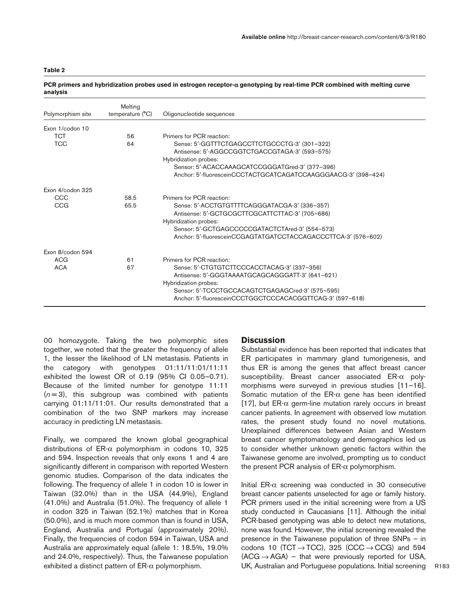## **Table 2**

| Polymorphism site | Melting<br>temperature (°C) | Oligonucleotide sequences                                                                                                                                                                                                                      |
|-------------------|-----------------------------|------------------------------------------------------------------------------------------------------------------------------------------------------------------------------------------------------------------------------------------------|
| Exon 1/codon 10   |                             |                                                                                                                                                                                                                                                |
| <b>TCT</b>        | 56                          | Primers for PCR reaction:                                                                                                                                                                                                                      |
| <b>TCC</b>        | 64                          | Sense: 5'-GGTTTCTGAGCCTTCTGCCCTG-3' (301-322)<br>Antisense: 5'-AGGCCGGTCTGACCGTAGA-3' (593-575)<br>Hybridization probes:<br>Sensor: 5'-ACACCAAAGCATCCGGGATGred-3' (377-396)                                                                    |
|                   |                             | Anchor: 5'-fluoresceinCCCTACTGCATCAGATCCAAGGGAACG-3' (398-424)                                                                                                                                                                                 |
| Exon 4/codon 325  |                             |                                                                                                                                                                                                                                                |
| CCC               | 58.5                        | Primers for PCR reaction:                                                                                                                                                                                                                      |
| CCG               | 65.5                        | Sense: 5'-ACCTGTGTTTTCAGGGATACGA-3' (336-357)<br>Antisense: 5'-GCTGCGCTTCGCATTCTTAC-3' (705-686)<br>Hybridization probes:<br>Sensor: 5'-GCTGAGCCCCCGATACTCTAred-3' (554-573)<br>Anchor: 5'-fluoresceinCCGAGTATGATCCTACCAGACCCTTCA-3' (576-602) |
| Exon 8/codon 594  |                             |                                                                                                                                                                                                                                                |
| <b>ACG</b>        | 61                          | Primers for PCR reaction:                                                                                                                                                                                                                      |
| <b>ACA</b>        | 67                          | Sense: 5'-CTGTGTCTTCCCACCTACAG-3' (337-356)<br>Antisense: 5'-GGGTAAAATGCAGCAGGGATT-3' (641-621)<br>Hybridization probes:<br>Sensor: 5'-TCCCTGCCACAGTCTGAGAGCred-3' (575-595)<br>Anchor: 5'-fluoresceinCCCTGGCTCCCACACGGTTCAG-3' (597-618)      |

#### **PCR primers and hybridization probes used in estrogen receptor-**α **genotyping by real-time PCR combined with melting curve analysis**

00 homozygote. Taking the two polymorphic sites together, we noted that the greater the frequency of allele 1, the lesser the likelihood of LN metastasis. Patients in the category with genotypes 01:11/11:01/11:11 exhibited the lowest OR of 0.19 (95% CI 0.05–0.71). Because of the limited number for genotype 11:11  $(n=3)$ , this subgroup was combined with patients carrying 01:11/11:01. Our results demonstrated that a combination of the two SNP markers may increase accuracy in predicting LN metastasis.

Finally, we compared the known global geographical distributions of ER-α polymorphism in codons 10, 325 and 594. Inspection reveals that only exons 1 and 4 are significantly different in comparison with reported Western genomic studies. Comparison of the data indicates the following. The frequency of allele 1 in codon 10 is lower in Taiwan (32.0%) than in the USA (44.9%), England (41.0%) and Australia (51.0%). The frequency of allele 1 in codon 325 in Taiwan (52.1%) matches that in Korea (50.0%), and is much more common than is found in USA, England, Australia and Portugal (approximately 20%). Finally, the frequencies of codon 594 in Taiwan, USA and Australia are approximately equal (allele 1: 18.5%, 19.0% and 24.0%, respectively). Thus, the Taiwanese population exhibited a distinct pattern of ER-α polymorphism.

## **Discussion**

Substantial evidence has been reported that indicates that ER participates in mammary gland tumorigenesis, and thus ER is among the genes that affect breast cancer susceptibility. Breast cancer associated ER-α polymorphisms were surveyed in previous studies [11–16]. Somatic mutation of the  $ER-\alpha$  gene has been identified [17], but ER- $\alpha$  germ-line mutation rarely occurs in breast cancer patients. In agreement with observed low mutation rates, the present study found no novel mutations. Unexplained differences between Asian and Western breast cancer symptomatology and demographics led us to consider whether unknown genetic factors within the Taiwanese genome are involved, prompting us to conduct the present PCR analysis of  $ER-\alpha$  polymorphism.

Initial  $ER-α$  screening was conducted in 30 consecutive breast cancer patients unselected for age or family history. PCR primers used in the initial screening were from a US study conducted in Caucasians [11]. Although the initial PCR-based genotyping was able to detect new mutations, none was found. However, the initial screening revealed the presence in the Taiwanese population of three SNPs – in codons 10 (TCT  $\rightarrow$  TCC), 325 (CCC  $\rightarrow$  CCG) and 594  $(ACG \rightarrow AGA)$  – that were previously reported for USA, UK, Australian and Portuguese populations. Initial screening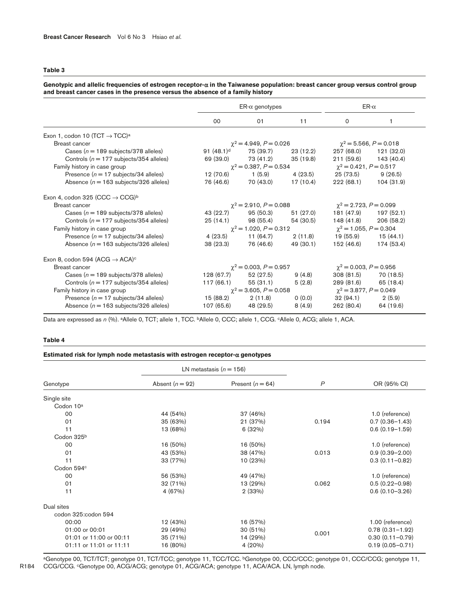# **Table 3**

| Genotypic and allelic frequencies of estrogen receptor- $\alpha$ in the Taiwanese population: breast cancer group versus control group |
|----------------------------------------------------------------------------------------------------------------------------------------|
| and breast cancer cases in the presence versus the absence of a family history                                                         |

|                                                        | $ER-\alpha$ genotypes                                      |                             |                             | $ER-\alpha$                 |                             |
|--------------------------------------------------------|------------------------------------------------------------|-----------------------------|-----------------------------|-----------------------------|-----------------------------|
|                                                        | 00                                                         | 01                          | 11                          | 0                           | 1                           |
| Exon 1, codon 10 (TCT $\rightarrow$ TCC) <sup>a</sup>  |                                                            |                             |                             |                             |                             |
| Breast cancer                                          |                                                            | $\chi^2$ = 4.949, P = 0.026 |                             |                             | $\chi^2$ = 5.566, P = 0.018 |
| Cases ( $n = 189$ subjects/378 alleles)                | 91 $(48.1)^d$                                              | 75 (39.7)                   | 23 (12.2)                   | 257 (68.0)                  | 121 (32.0)                  |
| Controls ( $n = 177$ subjects/354 alleles)             | 69 (39.0)                                                  | 73 (41.2)                   | 35 (19.8)                   |                             | 211 (59.6) 143 (40.4)       |
| Family history in case group                           | $\chi^2$ = 0.387, P = 0.534                                |                             | $\chi^2$ = 0.421, P = 0.517 |                             |                             |
| Presence ( $n = 17$ subjects/34 alleles)               | 12 (70.6)                                                  | 1 (5.9)                     | 4 (23.5)                    | 25 (73.5)                   | 9(26.5)                     |
| Absence ( $n = 163$ subjects/326 alleles)              | 76 (46.6)                                                  | 70 (43.0)                   | 17 (10.4)                   | 222 (68.1)                  | 104 (31.9)                  |
| Exon 4, codon 325 (CCC $\rightarrow$ CCG) <sup>b</sup> |                                                            |                             |                             |                             |                             |
| Breast cancer                                          |                                                            | $\chi^2$ = 2.910, P = 0.088 |                             | $\chi^2$ = 2.723, P = 0.099 |                             |
| Cases ( $n = 189$ subjects/378 alleles)                | 43 (22.7)                                                  | 95 (50.3)                   | 51 (27.0)                   |                             | 181 (47.9) 197 (52.1)       |
| Controls ( $n = 177$ subjects/354 alleles)             | 25 (14.1)                                                  | 98 (55.4)                   | 54 (30.5)                   | 148 (41.8)                  | 206 (58.2)                  |
| Family history in case group                           | $\chi^2$ = 1.020, P = 0.312                                |                             | $\chi^2$ = 1.055, P = 0.304 |                             |                             |
| Presence ( $n = 17$ subjects/34 alleles)               | 4(23.5)                                                    | 11 (64.7)                   | 2(11.8)                     | 19 (55.9) 15 (44.1)         |                             |
| Absence ( $n = 163$ subjects/326 alleles)              | 38 (23.3)                                                  | 76 (46.6)                   | 49 (30.1)                   | 152 (46.6)                  | 174 (53.4)                  |
| Exon 8, codon 594 (ACG $\rightarrow$ ACA) <sup>c</sup> |                                                            |                             |                             |                             |                             |
| Breast cancer                                          |                                                            | $\chi^2$ = 0.003, P = 0.957 |                             | $\chi^2$ = 0.003, P = 0.956 |                             |
| Cases ( $n = 189$ subjects/378 alleles)                | 128 (67.7)                                                 | 52 (27.5)                   | 9(4.8)                      | 308 (81.5)                  | 70 (18.5)                   |
| Controls ( $n = 177$ subjects/354 alleles)             | 117 (66.1)                                                 | 55 (31.1)                   | 5(2.8)                      | 289 (81.6)                  | 65 (18.4)                   |
| Family history in case group                           | $\chi^2$ = 3.877, P = 0.049<br>$\chi^2$ = 3.605, P = 0.058 |                             |                             |                             |                             |
| Presence ( $n = 17$ subjects/34 alleles)               | 15 (88.2)                                                  | 2(11.8)                     | 0(0.0)                      | 32 (94.1)                   | 2(5.9)                      |
| Absence ( $n = 163$ subjects/326 alleles)              | 107 (65.6)                                                 | 48 (29.5)                   | 8(4.9)                      | 262 (80.4)                  | 64 (19.6)                   |

Data are expressed as  $n$  (%). <sup>a</sup>Allele 0, TCT; allele 1, TCC. <sup>b</sup>Allele 0, CCC; allele 1, CCG. <sup>c</sup>Allele 0, ACG; allele 1, ACA.

#### **Table 4**

## **Estimated risk for lymph node metastasis with estrogen receptor-**α **genotypes**

|                         |                   | LN metastasis ( $n = 156$ ) |                |                     |
|-------------------------|-------------------|-----------------------------|----------------|---------------------|
| Genotype                | Absent $(n = 92)$ | Present $(n = 64)$          | $\overline{P}$ | OR (95% CI)         |
| Single site             |                   |                             |                |                     |
| Codon 10 <sup>a</sup>   |                   |                             |                |                     |
| 00                      | 44 (54%)          | 37 (46%)                    |                | 1.0 (reference)     |
| 01                      | 35 (63%)          | 21 (37%)                    | 0.194          | $0.7(0.36 - 1.43)$  |
| 11                      | 13 (68%)          | 6(32%)                      |                | $0.6(0.19 - 1.59)$  |
| Codon 325 <sup>b</sup>  |                   |                             |                |                     |
| 00                      | 16 (50%)          | 16 (50%)                    |                | 1.0 (reference)     |
| 01                      | 43 (53%)          | 38 (47%)                    | 0.013          | $0.9(0.39 - 2.00)$  |
| 11                      | 33 (77%)          | 10 (23%)                    |                | $0.3(0.11 - 0.82)$  |
| Codon 594°              |                   |                             |                |                     |
| 00                      | 56 (53%)          | 49 (47%)                    |                | 1.0 (reference)     |
| 01                      | 32 (71%)          | 13 (29%)                    | 0.062          | $0.5(0.22 - 0.98)$  |
| 11                      | 4 (67%)           | 2(33%)                      |                | $0.6(0.10 - 3.26)$  |
| Dual sites              |                   |                             |                |                     |
| codon 325:codon 594     |                   |                             |                |                     |
| 00:00                   | 12 (43%)          | 16 (57%)                    |                | 1.00 (reference)    |
| 01:00 or 00:01          | 29 (49%)          | 30 (51%)                    |                | $0.78(0.31 - 1.92)$ |
| 01:01 or 11:00 or 00:11 | 35 (71%)          | 14 (29%)                    | 0.001          | $0.30(0.11 - 0.79)$ |
| 01:11 or 11:01 or 11:11 | 16 (80%)          | 4(20%)                      |                | $0.19(0.05 - 0.71)$ |

aGenotype 00, TCT/TCT; genotype 01, TCT/TCC; genotype 11, TCC/TCC. bGenotype 00, CCC/CCC; genotype 01, CCC/CCG; genotype 11, CCG/CCG. <sup>c</sup>Genotype 00, ACG/ACG; genotype 01, ACG/ACA; genotype 11, ACA/ACA. LN, lymph node.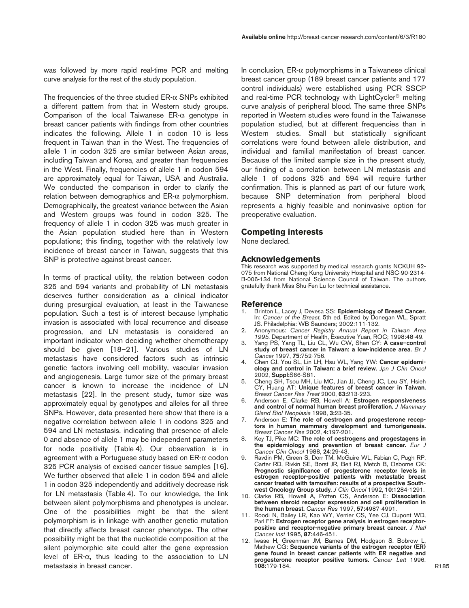was followed by more rapid real-time PCR and melting curve analysis for the rest of the study population.

The frequencies of the three studied  $ER-\alpha$  SNPs exhibited a different pattern from that in Western study groups. Comparison of the local Taiwanese ER-α genotype in breast cancer patients with findings from other countries indicates the following. Allele 1 in codon 10 is less frequent in Taiwan than in the West. The frequencies of allele 1 in codon 325 are similar between Asian areas, including Taiwan and Korea, and greater than frequencies in the West. Finally, frequencies of allele 1 in codon 594 are approximately equal for Taiwan, USA and Australia. We conducted the comparison in order to clarify the relation between demographics and ER-α polymorphism. Demographically, the greatest variance between the Asian and Western groups was found in codon 325. The frequency of allele 1 in codon 325 was much greater in the Asian population studied here than in Western populations; this finding, together with the relatively low incidence of breast cancer in Taiwan, suggests that this SNP is protective against breast cancer.

In terms of practical utility, the relation between codon 325 and 594 variants and probability of LN metastasis deserves further consideration as a clinical indicator during presurgical evaluation, at least in the Taiwanese population. Such a test is of interest because lymphatic invasion is associated with local recurrence and disease progression, and LN metastasis is considered an important indicator when deciding whether chemotherapy should be given [18–21]. Various studies of LN metastasis have considered factors such as intrinsic genetic factors involving cell mobility, vascular invasion and angiogenesis. Large tumor size of the primary breast cancer is known to increase the incidence of LN metastasis [22]. In the present study, tumor size was approximately equal by genotypes and alleles for all three SNPs. However, data presented here show that there is a negative correlation between allele 1 in codons 325 and 594 and LN metastasis, indicating that presence of allele 0 and absence of allele 1 may be independent parameters for node positivity (Table 4). Our observation is in agreement with a Portuguese study based on ER-α codon 325 PCR analysis of excised cancer tissue samples [16]. We further observed that allele 1 in codon 594 and allele 1 in codon 325 independently and additively decrease risk for LN metastasis (Table 4). To our knowledge, the link between silent polymorphisms and phenotypes is unclear. One of the possibilities might be that the silent polymorphism is in linkage with another genetic mutation that directly affects breast cancer phenotype. The other possibility might be that the nucleotide composition at the silent polymorphic site could alter the gene expression level of ER-α, thus leading to the association to LN metastasis in breast cancer.

In conclusion,  $ER-\alpha$  polymorphisms in a Taiwanese clinical breast cancer group (189 breast cancer patients and 177 control individuals) were established using PCR SSCP and real-time PCR technology with LightCycler® melting curve analysis of peripheral blood. The same three SNPs reported in Western studies were found in the Taiwanese population studied, but at different frequencies than in Western studies. Small but statistically significant correlations were found between allele distribution, and individual and familial manifestation of breast cancer. Because of the limited sample size in the present study, our finding of a correlation between LN metastasis and allele 1 of codons 325 and 594 will require further confirmation. This is planned as part of our future work, because SNP determination from peripheral blood represents a highly feasible and noninvasive option for preoperative evaluation.

## **Competing interests**

None declared.

## **Acknowledgements**

This research was supported by medical research grants NCKUH 92- 075 from National Cheng Kung University Hospital and NSC-90-2314- B-006-134 from National Science Council of Taiwan. The authors gratefully thank Miss Shu-Fen Lu for technical assistance.

#### **Reference**

- 1. Brinton L, Lacey J, Devesa SS: **Epidemiology of Breast Cancer.** In: *Cancer of the Breast*, 5th ed. Edited by Donegan WL, Spratt JS. Philadelphia: WB Saunders; 2002:111-132.
- 2. Anonymous: *Cancer Registry Annual Report in Taiwan Area 1995.* Department of Health, Executive Yuan, ROC; 1998:48-49.
- 3. Yang PS, Yang TL, Liu CL, Wu CW, Shen CY: **A case–control study of breast cancer in Taiwan: a low-incidence area.** *Br J Cancer* 1997, **75:**752-756.
- 4. Chen CJ, You SL, Lin LH, Hsu WL, Yang YW: **Cancer epidemiology and control in Taiwan: a brief review.** *Jpn J Clin Oncol* 2002, **Suppl:**S66-S81.
- 5. Cheng SH, Tsou MH, Liu MC, Jian JJ, Cheng JC, Leu SY, Hsieh CY, Huang AT: **Unique features of breast cancer in Taiwan.** *Breast Cancer Res Treat* 2000, **63:**213-223.
- 6. Anderson E, Clarke RB, Howell A: **Estrogen responsiveness and control of normal human breast proliferation.** *J Mammary Gland Biol Neoplasia* 1998, **3:**23-35.
- 7. Anderson E: **The role of oestrogen and progesterone receptors in human mammary development and tumorigenesis.** *Breast Cancer Res* 2002, **4:**197-201.
- 8. Key TJ, Pike MC: **The role of oestrogens and progestagens in the epidemiology and prevention of breast cancer.** *Eur J Cancer Clin Oncol* 1988, **24:**29-43.
- 9. Ravdin PM, Green S, Dorr TM, McGuire WL, Fabian C, Pugh RP, Carter RD, Rivkin SE, Borst JR, Belt RJ, Metch B, Osborne CK: **Prognostic significance of progesterone receptor levels in estrogen receptor-positive patients with metastatic breast cancer treated with tamoxifen: results of a prospective Southwest Oncology Group study.** *J Clin Oncol* 1992, **10:**1284-1291.
- 10. Clarke RB, Howell A, Potten CS, Anderson E: **Dissociation between steroid receptor expression and cell proliferation in the human breast.** *Cancer Res* 1997, **57:**4987-4991.
- 11. Roodi N, Bailey LR, Kao WY, Verrier CS, Yee CJ, Dupont WD, Parl FF: **Estrogen receptor gene analysis in estrogen receptorpositive and receptor-negative primary breast cancer.** *J Natl Cancer Inst* 1995, **87:**446-451.
- 12. Iwase H, Greenman JM, Barnes DM, Hodgson S, Bobrow L, Mathew CG: **Sequence variants of the estrogen receptor (ER) gene found in breast cancer patients with ER negative and progesterone receptor positive tumors.** *Cancer Lett* 1996, **108:**179-184.